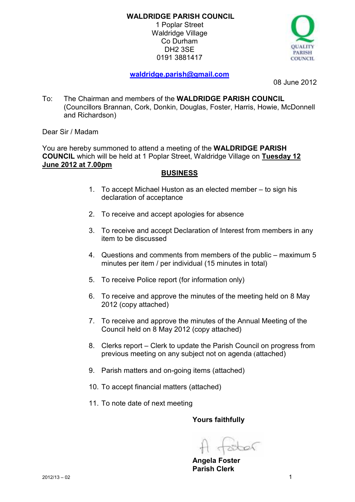1 Poplar Street Waldridge Village Co Durham DH2 3SE 0191 3881417



# **waldridge.parish@gmail.com**

08 June 2012

To: The Chairman and members of the **WALDRIDGE PARISH COUNCIL**  (Councillors Brannan, Cork, Donkin, Douglas, Foster, Harris, Howie, McDonnell and Richardson)

Dear Sir / Madam

You are hereby summoned to attend a meeting of the **WALDRIDGE PARISH COUNCIL** which will be held at 1 Poplar Street, Waldridge Village on **Tuesday 12 June 2012 at 7.00pm** 

## **BUSINESS**

- 1. To accept Michael Huston as an elected member to sign his declaration of acceptance
- 2. To receive and accept apologies for absence
- 3. To receive and accept Declaration of Interest from members in any item to be discussed
- 4. Questions and comments from members of the public maximum 5 minutes per item / per individual (15 minutes in total)
- 5. To receive Police report (for information only)
- 6. To receive and approve the minutes of the meeting held on 8 May 2012 (copy attached)
- 7. To receive and approve the minutes of the Annual Meeting of the Council held on 8 May 2012 (copy attached)
- 8. Clerks report Clerk to update the Parish Council on progress from previous meeting on any subject not on agenda (attached)
- 9. Parish matters and on-going items (attached)
- 10. To accept financial matters (attached)
- 11. To note date of next meeting

**Yours faithfully** 

**Angela Foster Parish Clerk**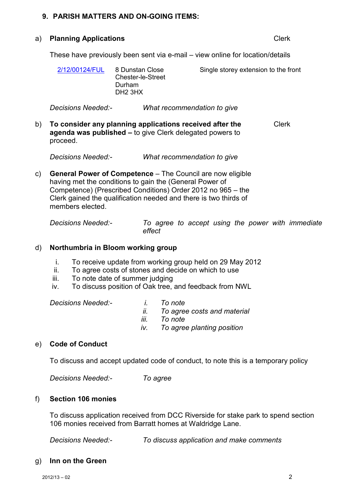## **9. PARISH MATTERS AND ON-GOING ITEMS:**

#### a) **Planning Applications** Clerk

These have previously been sent via e-mail – view online for location/details

| 2/12/00124/FUL | 8 Dunstan Close<br><b>Chester-le-Street</b><br>Durham<br>DH <sub>2</sub> 3HX | Single storey extension to the front |
|----------------|------------------------------------------------------------------------------|--------------------------------------|
|                |                                                                              |                                      |

*Decisions Needed:- What recommendation to give* 

b) **To consider any planning applications received after the agenda was published –** to give Clerk delegated powers to proceed. Clerk

*Decisions Needed:- What recommendation to give* 

c) **General Power of Competence** – The Council are now eligible having met the conditions to gain the (General Power of Competence) (Prescribed Conditions) Order 2012 no 965 – the Clerk gained the qualification needed and there is two thirds of members elected.

| <b>Decisions Needed:-</b> |        |  |  |  | To agree to accept using the power with immediate |
|---------------------------|--------|--|--|--|---------------------------------------------------|
|                           | effect |  |  |  |                                                   |

## d) **Northumbria in Bloom working group**

- i. To receive update from working group held on 29 May 2012
- ii. To agree costs of stones and decide on which to use
- iii. To note date of summer judging
- iv. To discuss position of Oak tree, and feedback from NWL

 *Decisions Needed:- i. To note* 

- 
- *ii. To agree costs and material*
- *iii. To note*
- *iv. To agree planting position*

## e) **Code of Conduct**

To discuss and accept updated code of conduct, to note this is a temporary policy

*Decisions Needed:- To agree* 

#### f) **Section 106 monies**

 To discuss application received from DCC Riverside for stake park to spend section 106 monies received from Barratt homes at Waldridge Lane.

*Decisions Needed:- To discuss application and make comments* 

#### g) **Inn on the Green**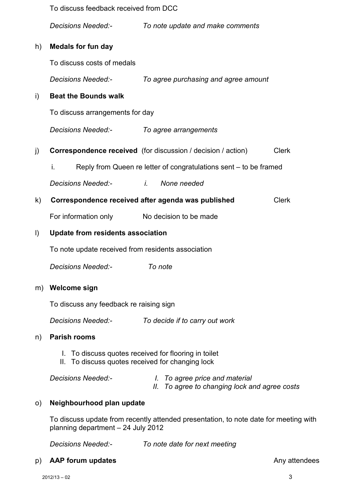|                                         | To discuss feedback received from DCC                                                                    |         |                                                                                    |              |  |  |  |
|-----------------------------------------|----------------------------------------------------------------------------------------------------------|---------|------------------------------------------------------------------------------------|--------------|--|--|--|
|                                         | <i>Decisions Needed:-</i>                                                                                |         | To note update and make comments                                                   |              |  |  |  |
| h)                                      | <b>Medals for fun day</b>                                                                                |         |                                                                                    |              |  |  |  |
|                                         | To discuss costs of medals                                                                               |         |                                                                                    |              |  |  |  |
|                                         | <b>Decisions Needed:-</b>                                                                                |         | To agree purchasing and agree amount                                               |              |  |  |  |
| i)                                      | <b>Beat the Bounds walk</b>                                                                              |         |                                                                                    |              |  |  |  |
|                                         | To discuss arrangements for day                                                                          |         |                                                                                    |              |  |  |  |
|                                         | Decisions Needed:-                                                                                       |         | To agree arrangements                                                              |              |  |  |  |
| $\vert$ )                               | <b>Correspondence received</b> (for discussion / decision / action)                                      |         |                                                                                    | <b>Clerk</b> |  |  |  |
|                                         | İ.                                                                                                       |         | Reply from Queen re letter of congratulations sent – to be framed                  |              |  |  |  |
|                                         | <b>Decisions Needed:-</b>                                                                                |         | <i>i.</i> None needed                                                              |              |  |  |  |
| $\mathsf{k}$                            | Correspondence received after agenda was published                                                       |         |                                                                                    | <b>Clerk</b> |  |  |  |
|                                         | For information only                                                                                     |         | No decision to be made                                                             |              |  |  |  |
| $\vert$                                 | Update from residents association                                                                        |         |                                                                                    |              |  |  |  |
|                                         | To note update received from residents association                                                       |         |                                                                                    |              |  |  |  |
|                                         | <b>Decisions Needed:-</b>                                                                                | To note |                                                                                    |              |  |  |  |
| m)                                      | <b>Welcome sign</b>                                                                                      |         |                                                                                    |              |  |  |  |
| To discuss any feedback re raising sign |                                                                                                          |         |                                                                                    |              |  |  |  |
|                                         | <i>Decisions Needed:-</i>                                                                                |         | To decide if to carry out work                                                     |              |  |  |  |
| n)                                      | <b>Parish rooms</b>                                                                                      |         |                                                                                    |              |  |  |  |
|                                         | I. To discuss quotes received for flooring in toilet<br>II. To discuss quotes received for changing lock |         |                                                                                    |              |  |  |  |
|                                         | <b>Decisions Needed:-</b>                                                                                | II.     | <i>I.</i> To agree price and material<br>To agree to changing lock and agree costs |              |  |  |  |
| $\circ$ )                               | Neighbourhood plan update                                                                                |         |                                                                                    |              |  |  |  |

To discuss update from recently attended presentation, to note date for meeting with planning department – 24 July 2012

*Decisions Needed:- To note date for next meeting* 

p) **AAP forum updates Any attendees Any attendees**